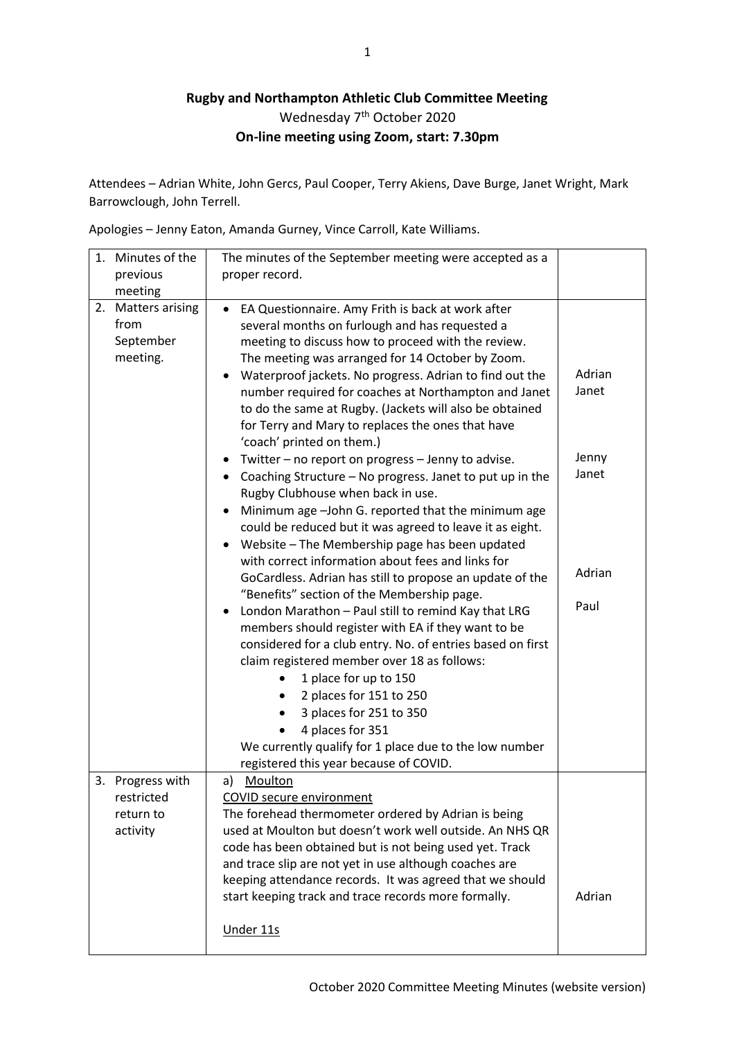## **Rugby and Northampton Athletic Club Committee Meeting** Wednesday 7<sup>th</sup> October 2020 **On-line meeting using Zoom, start: 7.30pm**

Attendees – Adrian White, John Gercs, Paul Cooper, Terry Akiens, Dave Burge, Janet Wright, Mark Barrowclough, John Terrell.

Apologies – Jenny Eaton, Amanda Gurney, Vince Carroll, Kate Williams.

|    | 1. Minutes of the                                       | The minutes of the September meeting were accepted as a                                                                                                                                                                                                                                                                                                                                                                                                                                                                                                                                                                                                                                                                                                                                                                                                                                                                                                                                                                                                                                                                                                                                                                                                                                                                                                                                                              |                                                     |
|----|---------------------------------------------------------|----------------------------------------------------------------------------------------------------------------------------------------------------------------------------------------------------------------------------------------------------------------------------------------------------------------------------------------------------------------------------------------------------------------------------------------------------------------------------------------------------------------------------------------------------------------------------------------------------------------------------------------------------------------------------------------------------------------------------------------------------------------------------------------------------------------------------------------------------------------------------------------------------------------------------------------------------------------------------------------------------------------------------------------------------------------------------------------------------------------------------------------------------------------------------------------------------------------------------------------------------------------------------------------------------------------------------------------------------------------------------------------------------------------------|-----------------------------------------------------|
|    | previous                                                | proper record.                                                                                                                                                                                                                                                                                                                                                                                                                                                                                                                                                                                                                                                                                                                                                                                                                                                                                                                                                                                                                                                                                                                                                                                                                                                                                                                                                                                                       |                                                     |
|    | meeting                                                 |                                                                                                                                                                                                                                                                                                                                                                                                                                                                                                                                                                                                                                                                                                                                                                                                                                                                                                                                                                                                                                                                                                                                                                                                                                                                                                                                                                                                                      |                                                     |
| 2. | <b>Matters arising</b><br>from<br>September<br>meeting. | EA Questionnaire. Amy Frith is back at work after<br>$\bullet$<br>several months on furlough and has requested a<br>meeting to discuss how to proceed with the review.<br>The meeting was arranged for 14 October by Zoom.<br>Waterproof jackets. No progress. Adrian to find out the<br>$\bullet$<br>number required for coaches at Northampton and Janet<br>to do the same at Rugby. (Jackets will also be obtained<br>for Terry and Mary to replaces the ones that have<br>'coach' printed on them.)<br>Twitter - no report on progress - Jenny to advise.<br>٠<br>Coaching Structure - No progress. Janet to put up in the<br>$\bullet$<br>Rugby Clubhouse when back in use.<br>Minimum age -John G. reported that the minimum age<br>could be reduced but it was agreed to leave it as eight.<br>Website - The Membership page has been updated<br>٠<br>with correct information about fees and links for<br>GoCardless. Adrian has still to propose an update of the<br>"Benefits" section of the Membership page.<br>London Marathon - Paul still to remind Kay that LRG<br>٠<br>members should register with EA if they want to be<br>considered for a club entry. No. of entries based on first<br>claim registered member over 18 as follows:<br>1 place for up to 150<br>2 places for 151 to 250<br>3 places for 251 to 350<br>4 places for 351<br>We currently qualify for 1 place due to the low number | Adrian<br>Janet<br>Jenny<br>Janet<br>Adrian<br>Paul |
|    |                                                         | registered this year because of COVID.                                                                                                                                                                                                                                                                                                                                                                                                                                                                                                                                                                                                                                                                                                                                                                                                                                                                                                                                                                                                                                                                                                                                                                                                                                                                                                                                                                               |                                                     |
| 3. | Progress with<br>restricted<br>return to<br>activity    | Moulton<br>a)<br><b>COVID secure environment</b><br>The forehead thermometer ordered by Adrian is being<br>used at Moulton but doesn't work well outside. An NHS QR<br>code has been obtained but is not being used yet. Track<br>and trace slip are not yet in use although coaches are<br>keeping attendance records. It was agreed that we should<br>start keeping track and trace records more formally.<br>Under 11s                                                                                                                                                                                                                                                                                                                                                                                                                                                                                                                                                                                                                                                                                                                                                                                                                                                                                                                                                                                            | Adrian                                              |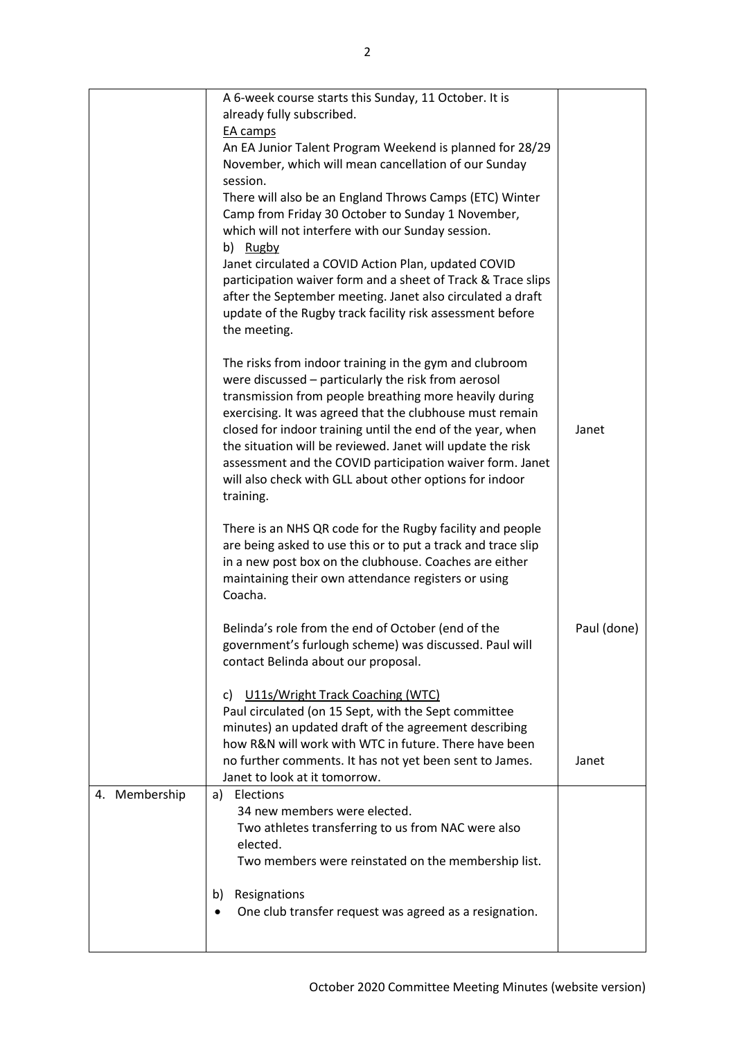|               | A 6-week course starts this Sunday, 11 October. It is          |             |
|---------------|----------------------------------------------------------------|-------------|
|               | already fully subscribed.                                      |             |
|               | EA camps                                                       |             |
|               | An EA Junior Talent Program Weekend is planned for 28/29       |             |
|               | November, which will mean cancellation of our Sunday           |             |
|               | session.                                                       |             |
|               | There will also be an England Throws Camps (ETC) Winter        |             |
|               | Camp from Friday 30 October to Sunday 1 November,              |             |
|               | which will not interfere with our Sunday session.              |             |
|               | b) Rugby                                                       |             |
|               | Janet circulated a COVID Action Plan, updated COVID            |             |
|               |                                                                |             |
|               | participation waiver form and a sheet of Track & Trace slips   |             |
|               | after the September meeting. Janet also circulated a draft     |             |
|               | update of the Rugby track facility risk assessment before      |             |
|               | the meeting.                                                   |             |
|               |                                                                |             |
|               | The risks from indoor training in the gym and clubroom         |             |
|               | were discussed - particularly the risk from aerosol            |             |
|               | transmission from people breathing more heavily during         |             |
|               | exercising. It was agreed that the clubhouse must remain       |             |
|               | closed for indoor training until the end of the year, when     | Janet       |
|               | the situation will be reviewed. Janet will update the risk     |             |
|               | assessment and the COVID participation waiver form. Janet      |             |
|               | will also check with GLL about other options for indoor        |             |
|               | training.                                                      |             |
|               |                                                                |             |
|               | There is an NHS QR code for the Rugby facility and people      |             |
|               | are being asked to use this or to put a track and trace slip   |             |
|               | in a new post box on the clubhouse. Coaches are either         |             |
|               | maintaining their own attendance registers or using            |             |
|               | Coacha.                                                        |             |
|               |                                                                |             |
|               | Belinda's role from the end of October (end of the             | Paul (done) |
|               | government's furlough scheme) was discussed. Paul will         |             |
|               | contact Belinda about our proposal.                            |             |
|               |                                                                |             |
|               | U11s/Wright Track Coaching (WTC)<br>C)                         |             |
|               | Paul circulated (on 15 Sept, with the Sept committee           |             |
|               | minutes) an updated draft of the agreement describing          |             |
|               | how R&N will work with WTC in future. There have been          |             |
|               | no further comments. It has not yet been sent to James.        | Janet       |
|               | Janet to look at it tomorrow.                                  |             |
| 4. Membership | a) Elections                                                   |             |
|               | 34 new members were elected.                                   |             |
|               |                                                                |             |
|               | Two athletes transferring to us from NAC were also<br>elected. |             |
|               |                                                                |             |
|               | Two members were reinstated on the membership list.            |             |
|               | Resignations<br>b)                                             |             |
|               | One club transfer request was agreed as a resignation.         |             |
|               |                                                                |             |
|               |                                                                |             |
|               |                                                                |             |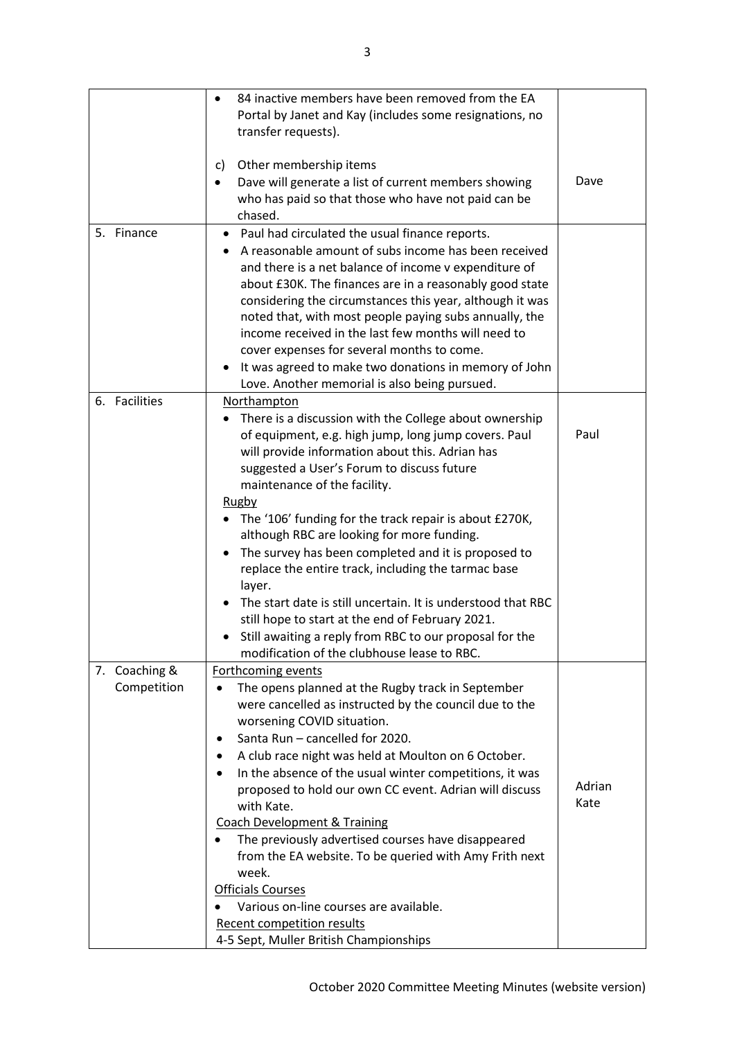|               | 84 inactive members have been removed from the EA            |        |
|---------------|--------------------------------------------------------------|--------|
|               | Portal by Janet and Kay (includes some resignations, no      |        |
|               | transfer requests).                                          |        |
|               |                                                              |        |
|               | Other membership items<br>C)                                 |        |
|               | Dave will generate a list of current members showing         | Dave   |
|               | who has paid so that those who have not paid can be          |        |
|               | chased.                                                      |        |
| 5.<br>Finance | Paul had circulated the usual finance reports.<br>٠          |        |
|               | A reasonable amount of subs income has been received         |        |
|               | and there is a net balance of income v expenditure of        |        |
|               | about £30K. The finances are in a reasonably good state      |        |
|               | considering the circumstances this year, although it was     |        |
|               | noted that, with most people paying subs annually, the       |        |
|               | income received in the last few months will need to          |        |
|               | cover expenses for several months to come.                   |        |
|               | It was agreed to make two donations in memory of John        |        |
|               | Love. Another memorial is also being pursued.                |        |
| 6. Facilities | Northampton                                                  |        |
|               | There is a discussion with the College about ownership       |        |
|               | of equipment, e.g. high jump, long jump covers. Paul         | Paul   |
|               | will provide information about this. Adrian has              |        |
|               | suggested a User's Forum to discuss future                   |        |
|               | maintenance of the facility.                                 |        |
|               | <b>Rugby</b>                                                 |        |
|               | The '106' funding for the track repair is about £270K,       |        |
|               | although RBC are looking for more funding.                   |        |
|               | The survey has been completed and it is proposed to          |        |
|               | replace the entire track, including the tarmac base          |        |
|               | layer.                                                       |        |
|               | The start date is still uncertain. It is understood that RBC |        |
|               | still hope to start at the end of February 2021.             |        |
|               | Still awaiting a reply from RBC to our proposal for the      |        |
|               | modification of the clubhouse lease to RBC.                  |        |
| 7. Coaching & | Forthcoming events                                           |        |
| Competition   | The opens planned at the Rugby track in September<br>٠       |        |
|               | were cancelled as instructed by the council due to the       |        |
|               | worsening COVID situation.                                   |        |
|               | Santa Run - cancelled for 2020.<br>٠                         |        |
|               | A club race night was held at Moulton on 6 October.          |        |
|               | In the absence of the usual winter competitions, it was<br>٠ |        |
|               | proposed to hold our own CC event. Adrian will discuss       | Adrian |
|               | with Kate.                                                   | Kate   |
|               | <b>Coach Development &amp; Training</b>                      |        |
|               | The previously advertised courses have disappeared           |        |
|               | from the EA website. To be queried with Amy Frith next       |        |
|               | week.                                                        |        |
|               | <b>Officials Courses</b>                                     |        |
|               | Various on-line courses are available.                       |        |
|               | Recent competition results                                   |        |
|               | 4-5 Sept, Muller British Championships                       |        |